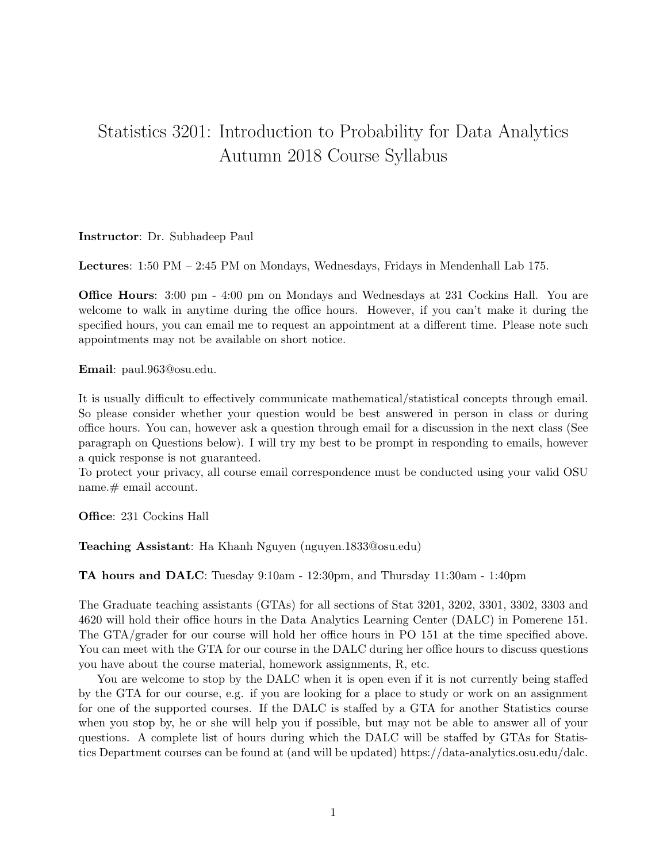## Statistics 3201: Introduction to Probability for Data Analytics Autumn 2018 Course Syllabus

Instructor: Dr. Subhadeep Paul

Lectures: 1:50 PM – 2:45 PM on Mondays, Wednesdays, Fridays in Mendenhall Lab 175.

Office Hours: 3:00 pm - 4:00 pm on Mondays and Wednesdays at 231 Cockins Hall. You are welcome to walk in anytime during the office hours. However, if you can't make it during the specified hours, you can email me to request an appointment at a different time. Please note such appointments may not be available on short notice.

Email: paul.963@osu.edu.

It is usually difficult to effectively communicate mathematical/statistical concepts through email. So please consider whether your question would be best answered in person in class or during office hours. You can, however ask a question through email for a discussion in the next class (See paragraph on Questions below). I will try my best to be prompt in responding to emails, however a quick response is not guaranteed.

To protect your privacy, all course email correspondence must be conducted using your valid OSU name. # email account.

Office: 231 Cockins Hall

Teaching Assistant: Ha Khanh Nguyen (nguyen.1833@osu.edu)

TA hours and DALC: Tuesday 9:10am - 12:30pm, and Thursday 11:30am - 1:40pm

The Graduate teaching assistants (GTAs) for all sections of Stat 3201, 3202, 3301, 3302, 3303 and 4620 will hold their office hours in the Data Analytics Learning Center (DALC) in Pomerene 151. The GTA/grader for our course will hold her office hours in PO 151 at the time specified above. You can meet with the GTA for our course in the DALC during her office hours to discuss questions you have about the course material, homework assignments, R, etc.

You are welcome to stop by the DALC when it is open even if it is not currently being staffed by the GTA for our course, e.g. if you are looking for a place to study or work on an assignment for one of the supported courses. If the DALC is staffed by a GTA for another Statistics course when you stop by, he or she will help you if possible, but may not be able to answer all of your questions. A complete list of hours during which the DALC will be staffed by GTAs for Statistics Department courses can be found at (and will be updated) https://data-analytics.osu.edu/dalc.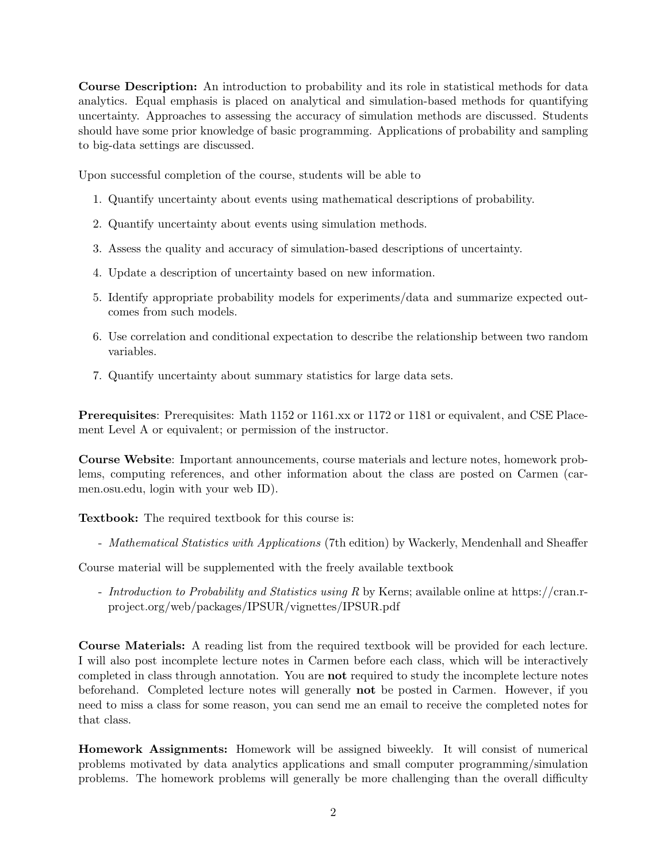Course Description: An introduction to probability and its role in statistical methods for data analytics. Equal emphasis is placed on analytical and simulation-based methods for quantifying uncertainty. Approaches to assessing the accuracy of simulation methods are discussed. Students should have some prior knowledge of basic programming. Applications of probability and sampling to big-data settings are discussed.

Upon successful completion of the course, students will be able to

- 1. Quantify uncertainty about events using mathematical descriptions of probability.
- 2. Quantify uncertainty about events using simulation methods.
- 3. Assess the quality and accuracy of simulation-based descriptions of uncertainty.
- 4. Update a description of uncertainty based on new information.
- 5. Identify appropriate probability models for experiments/data and summarize expected outcomes from such models.
- 6. Use correlation and conditional expectation to describe the relationship between two random variables.
- 7. Quantify uncertainty about summary statistics for large data sets.

Prerequisites: Prerequisites: Math 1152 or 1161.xx or 1172 or 1181 or equivalent, and CSE Placement Level A or equivalent; or permission of the instructor.

Course Website: Important announcements, course materials and lecture notes, homework problems, computing references, and other information about the class are posted on Carmen (carmen.osu.edu, login with your web ID).

Textbook: The required textbook for this course is:

- Mathematical Statistics with Applications (7th edition) by Wackerly, Mendenhall and Sheaffer

Course material will be supplemented with the freely available textbook

- Introduction to Probability and Statistics using R by Kerns; available online at https://cran.rproject.org/web/packages/IPSUR/vignettes/IPSUR.pdf

Course Materials: A reading list from the required textbook will be provided for each lecture. I will also post incomplete lecture notes in Carmen before each class, which will be interactively completed in class through annotation. You are not required to study the incomplete lecture notes beforehand. Completed lecture notes will generally not be posted in Carmen. However, if you need to miss a class for some reason, you can send me an email to receive the completed notes for that class.

Homework Assignments: Homework will be assigned biweekly. It will consist of numerical problems motivated by data analytics applications and small computer programming/simulation problems. The homework problems will generally be more challenging than the overall difficulty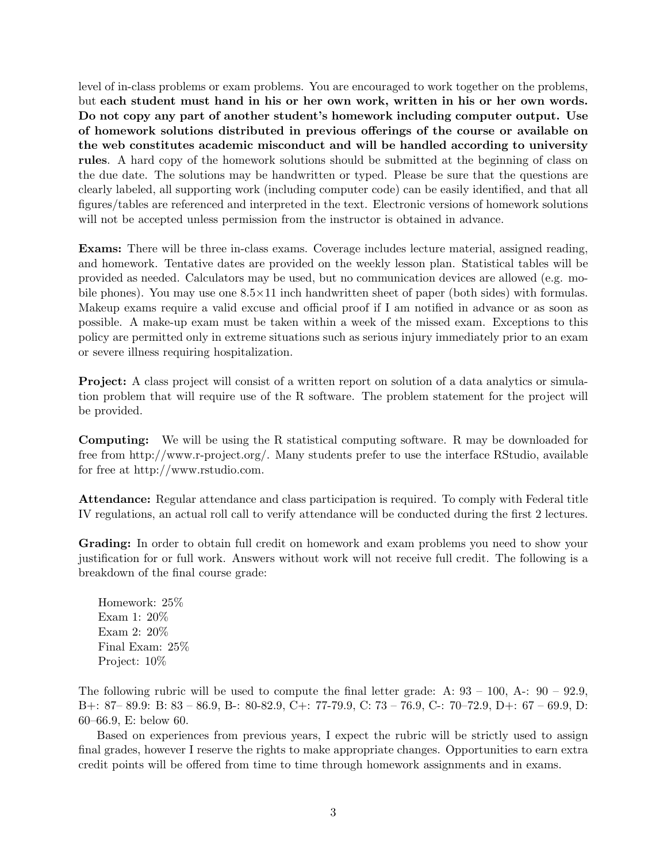level of in-class problems or exam problems. You are encouraged to work together on the problems, but each student must hand in his or her own work, written in his or her own words. Do not copy any part of another student's homework including computer output. Use of homework solutions distributed in previous offerings of the course or available on the web constitutes academic misconduct and will be handled according to university rules. A hard copy of the homework solutions should be submitted at the beginning of class on the due date. The solutions may be handwritten or typed. Please be sure that the questions are clearly labeled, all supporting work (including computer code) can be easily identified, and that all figures/tables are referenced and interpreted in the text. Electronic versions of homework solutions will not be accepted unless permission from the instructor is obtained in advance.

Exams: There will be three in-class exams. Coverage includes lecture material, assigned reading, and homework. Tentative dates are provided on the weekly lesson plan. Statistical tables will be provided as needed. Calculators may be used, but no communication devices are allowed (e.g. mobile phones). You may use one  $8.5 \times 11$  inch handwritten sheet of paper (both sides) with formulas. Makeup exams require a valid excuse and official proof if I am notified in advance or as soon as possible. A make-up exam must be taken within a week of the missed exam. Exceptions to this policy are permitted only in extreme situations such as serious injury immediately prior to an exam or severe illness requiring hospitalization.

Project: A class project will consist of a written report on solution of a data analytics or simulation problem that will require use of the R software. The problem statement for the project will be provided.

Computing: We will be using the R statistical computing software. R may be downloaded for free from http://www.r-project.org/. Many students prefer to use the interface RStudio, available for free at http://www.rstudio.com.

Attendance: Regular attendance and class participation is required. To comply with Federal title IV regulations, an actual roll call to verify attendance will be conducted during the first 2 lectures.

Grading: In order to obtain full credit on homework and exam problems you need to show your justification for or full work. Answers without work will not receive full credit. The following is a breakdown of the final course grade:

Homework: 25% Exam 1: 20% Exam 2: 20% Final Exam: 25% Project: 10%

The following rubric will be used to compute the final letter grade: A:  $93 - 100$ , A:  $90 - 92.9$ , B+: 87– 89.9: B: 83 – 86.9, B-: 80-82.9, C+: 77-79.9, C: 73 – 76.9, C-: 70–72.9, D+: 67 – 69.9, D: 60–66.9, E: below 60.

Based on experiences from previous years, I expect the rubric will be strictly used to assign final grades, however I reserve the rights to make appropriate changes. Opportunities to earn extra credit points will be offered from time to time through homework assignments and in exams.